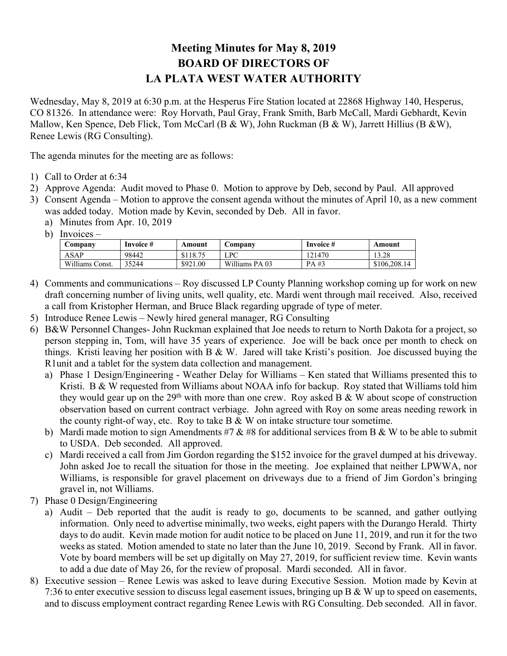## **Meeting Minutes for May 8, 2019 BOARD OF DIRECTORS OF LA PLATA WEST WATER AUTHORITY**

Wednesday, May 8, 2019 at 6:30 p.m. at the Hesperus Fire Station located at 22868 Highway 140, Hesperus, CO 81326. In attendance were: Roy Horvath, Paul Gray, Frank Smith, Barb McCall, Mardi Gebhardt, Kevin Mallow, Ken Spence, Deb Flick, Tom McCarl (B & W), John Ruckman (B & W), Jarrett Hillius (B & W), Renee Lewis (RG Consulting).

The agenda minutes for the meeting are as follows:

- 1) Call to Order at 6:34
- 2) Approve Agenda: Audit moved to Phase 0. Motion to approve by Deb, second by Paul. All approved
- 3) Consent Agenda Motion to approve the consent agenda without the minutes of April 10, as a new comment was added today. Motion made by Kevin, seconded by Deb. All in favor.
	- a) Minutes from Apr. 10, 2019
	- b) Invoices –

| Company         | Invoice # | Amount   | <b>Company</b> | Invoice # | Amount       |
|-----------------|-----------|----------|----------------|-----------|--------------|
| ASAP            | 98442     | \$118.75 | LPC            | 121470    | 13.28        |
| Williams Const. | 35244     | \$921.00 | Williams PA 03 | PA#3      | \$106,208.14 |

- 4) Comments and communications Roy discussed LP County Planning workshop coming up for work on new draft concerning number of living units, well quality, etc. Mardi went through mail received. Also, received a call from Kristopher Herman, and Bruce Black regarding upgrade of type of meter.
- 5) Introduce Renee Lewis Newly hired general manager, RG Consulting
- 6) B&W Personnel Changes- John Ruckman explained that Joe needs to return to North Dakota for a project, so person stepping in, Tom, will have 35 years of experience. Joe will be back once per month to check on things. Kristi leaving her position with B & W. Jared will take Kristi's position. Joe discussed buying the R1unit and a tablet for the system data collection and management.
	- a) Phase 1 Design/Engineering Weather Delay for Williams Ken stated that Williams presented this to Kristi. B & W requested from Williams about NOAA info for backup. Roy stated that Williams told him they would gear up on the 29<sup>th</sup> with more than one crew. Roy asked B & W about scope of construction observation based on current contract verbiage. John agreed with Roy on some areas needing rework in the county right-of way, etc. Roy to take  $B & W$  on intake structure tour sometime.
	- b) Mardi made motion to sign Amendments #7  $&$  #8 for additional services from B  $&$  W to be able to submit to USDA. Deb seconded. All approved.
	- c) Mardi received a call from Jim Gordon regarding the \$152 invoice for the gravel dumped at his driveway. John asked Joe to recall the situation for those in the meeting. Joe explained that neither LPWWA, nor Williams, is responsible for gravel placement on driveways due to a friend of Jim Gordon's bringing gravel in, not Williams.
- 7) Phase 0 Design/Engineering
	- a) Audit Deb reported that the audit is ready to go, documents to be scanned, and gather outlying information. Only need to advertise minimally, two weeks, eight papers with the Durango Herald. Thirty days to do audit. Kevin made motion for audit notice to be placed on June 11, 2019, and run it for the two weeks as stated. Motion amended to state no later than the June 10, 2019. Second by Frank. All in favor. Vote by board members will be set up digitally on May 27, 2019, for sufficient review time. Kevin wants to add a due date of May 26, for the review of proposal. Mardi seconded. All in favor.
- 8) Executive session Renee Lewis was asked to leave during Executive Session. Motion made by Kevin at 7:36 to enter executive session to discuss legal easement issues, bringing up B & W up to speed on easements, and to discuss employment contract regarding Renee Lewis with RG Consulting. Deb seconded. All in favor.